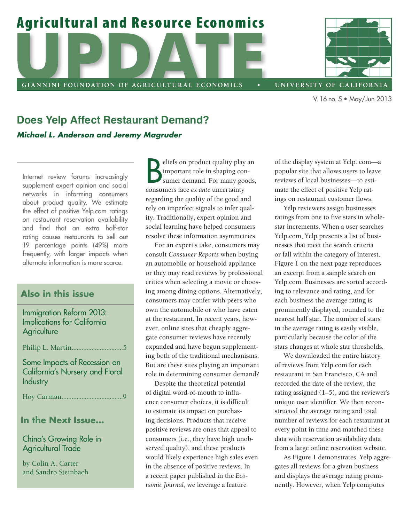# **Agricultural and Resource Economics**

GIANNINI FOUNDATION OF AGRICULTURAL ECONOMICS



UNIVERSITY OF CALIFORNIA

V. 16no.5 • May/Jun 2013

## **Does Yelp Affect Restaurant Demand?**  *Michael L. Anderson and Jeremy Magruder*

Internet review forums increasingly supplement expert opinion and social networks in informing consumers about product quality. We estimate the effect of positive Yelp.com ratings on restaurant reservation availability and find that an extra half-star rating causes restaurants to sell out 19 percentage points (49%) more frequently, with larger impacts when alternate information is more scarce.

### **Also in this issue**

#### Immigration Reform 2013: Implications for California **Agriculture**

Philip L. Martin...............................5

Some Impacts of Recession on California's Nursery and Floral **Industry** 

Hoy Carman.....................................9

#### **In the Next Issue...**

#### China's Growing Role in Agricultural Trade

by Colin A. Carter and Sandro Steinbach

**Example 18**<br>
important role in shaping consumers face *ex ante* uncertainty eliefs on product quality play an important role in shaping consumer demand. For many goods, regarding the quality of the good and rely on imperfect signals to infer quality. Traditionally, expert opinion and social learning have helped consumers resolve these information asymmetries.

For an expert's take, consumers may consult *Consumer Reports* when buying an automobile or household appliance or they may read reviews by professional critics when selecting a movie or choosing among dining options. Alternatively, consumers may confer with peers who own the automobile or who have eaten at the restaurant. In recent years, however, online sites that cheaply aggregate consumer reviews have recently expanded and have begun supplementing both of the traditional mechanisms. But are these sites playing an important role in determining consumer demand?

Despite the theoretical potential of digital word-of-mouth to influence consumer choices, it is difficult to estimate its impact on purchasing decisions. Products that receive positive reviews are ones that appeal to consumers (i.e., they have high unobserved quality), and these products would likely experience high sales even in the absence of positive reviews. In a recent paper published in the *Economic Journal,* we leverage a feature

of the display system at Yelp. com—a popular site that allows users to leave reviews of local businesses—to estimate the effect of positive Yelp ratings on restaurant customer flows.

Yelp reviewers assign businesses ratings from one to five stars in wholestar increments. When a user searches Yelp.com, Yelp presents a list of businesses that meet the search criteria or fall within the category of interest. Figure 1 on the next page reproduces an excerpt from a sample search on Yelp.com. Businesses are sorted according to relevance and rating, and for each business the average rating is prominently displayed, rounded to the nearest half star. The number of stars in the average rating is easily visible, particularly because the color of the stars changes at whole star thresholds.

We downloaded the entire history of reviews from Yelp.com for each restaurant in San Francisco, CA and recorded the date of the review, the rating assigned (1–5), and the reviewer's unique user identifier. We then reconstructed the average rating and total number of reviews for each restaurant at every point in time and matched these data with reservation availability data from a large online reservation website.

As Figure 1 demonstrates, Yelp aggregates all reviews for a given business and displays the average rating prominently. However, when Yelp computes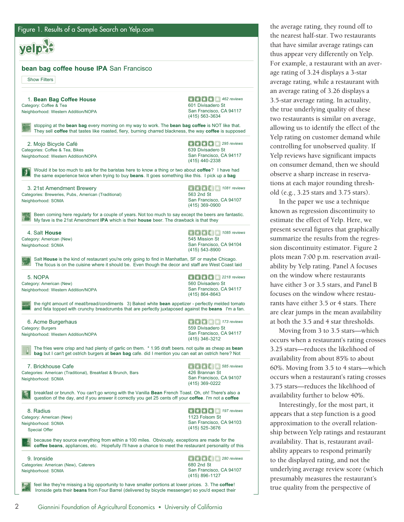yelpes  **bean bag coffee house IPA** San Francisco Show Filters *462 reviews*  1. **Bean Bag Coffee House**  Category: Coffee & Tea 601 Divisadero St Neighborhood: Western Addition/NOPA San Francisco, CA 94117 (415) 563-3634 stopping at the **bean bag** every morning on my way to work. The **bean bag coffee** is NOT like that. They sell **coffee** that tastes like roasted, fiery, burning charred blackness, the way **coffee** is supposed *295 reviews*  2. Mojo Bicycle Café Categories: Coffee & Tea, Bikes 639 Divisadero St San Francisco, CA 94117 Neighborhood: Western Addition/NOPA (415) 440-2338 Would it be too much to ask for the baristas here to know a thing or two about **coffee**? I have had the same experience twice when trying to buy **beans**. It goes something like this. I pick up a **bag**  *1081 reviews*  3. 21st Amendment Brewery Categories: Breweries, Pubs, American (Traditional) 563 2nd St San Francisco, CA 94107 Neighborhood: SOMA (415) 369-0900 Been coming here regularly for a couple of years. Not too much to say except the beers are fantastic. My fave is the 21st Amendment **IPA** which is their **house** beer. The drawback is that they **1085 reviews** 4. Salt **House**  Category: American (New) 545 Mission St San Francisco, CA 94104 Neighborhood: SOMA (415) 543-8900 Salt **House** is the kind of restaurant you're only going to find in Manhattan, SF or maybe Chicago. The focus is on the cuisine where it should be. Even though the decor and staff are West Coast laid 5. NOPA  $\left| \cdot \right|$   $\left| \cdot \right|$   $\left| \cdot \right|$  2218 reviews Category: American (New) 560 Divisadero St Neighborhood: Western Addition/NOPA San Francisco, CA 94117 (415) 864-8643 the right amount of meat/bread/condiments 3) Baked white **bean** appetizer - perfectly melded tomato and feta topped with crunchy breadcrumbs that are perfectly juxtaposed against the **beans** I'm a fan. *173 reviews*  6. Acme Burgerhaus Category: Burgers 559 Divisadero St San Francisco, CA 94117 Neighborhood: Western Addition/NOPA (415) 346-3212 The fries were crisp and had plenty of garlic on them. \* 1.95 draft beers. not quite as cheap as **bean bag** but I can't get ostrich burgers at **bean bag** cafe. did I mention you can eat an ostrich here? Not  $\begin{array}{|c|c|c|c|c|}\n\hline\n\end{array}$  **585 reviews** 7. Brickhouse Cafe Categories: American (Traditional), Breakfast & Brunch, Bars 426 Brannan St San Francisco, CA 94107 Neighborhood: SOMA (415) 369-0222 breakfast or brunch. You can't go wrong with the Vanilla **Bean** French Toast. Oh, oh! There's also a question of the day, and if you answer it correctly you get 25 cents off your **coffee**. I'm not a **coffee**  *197 reviews*  8. Radius Category: American (New) 1123 Folsom St San Francisco, CA 94103 Neighborhood: SOMA (415) 525-3676 Special Offer because they source everything from within a 100 miles. Obviously, exceptions are made for the **coffee beans**, appliances, etc. Hopefully I'll have a chance to meet the restaurant personality of this *280 reviews*  9. Ironside Categories: American (New), Caterers 680 2nd St San Francisco, CA 94107 Neighborhood: SOMA (415) 896-1127 feel like they're missing a big opportunity to have smaller portions at lower prices. 3. The **coffee**! Ironside gets their **beans** from Four Barrel (delivered by bicycle messenger) so you'd expect their

the average rating, they round off to the nearest half-star. Two restaurants that have similar average ratings can thus appear very differently on Yelp. For example, a restaurant with an average rating of 3.24 displays a 3-star average rating, while a restaurant with an average rating of 3.26 displays a 3.5-star average rating. In actuality, the true underlying quality of these two restaurants is similar on average, allowing us to identify the effect of the Yelp rating on customer demand while controlling for unobserved quality. If Yelp reviews have significant impacts on consumer demand, then we should observe a sharp increase in reservations at each major rounding threshold (e.g., 3.25 stars and 3.75 stars).

In the paper we use a technique known as regression discontinuity to estimate the effect of Yelp. Here, we present several figures that graphically summarize the results from the regression discontinuity estimator. Figure 2 plots mean 7:00 p.m. reservation availability by Yelp rating. Panel A focuses on the window where restaurants have either 3 or 3.5 stars, and Panel B focuses on the window where restaurants have either 3.5 or 4 stars. There are clear jumps in the mean availability at both the 3.5 and 4 star thresholds.

Moving from 3 to 3.5 stars—which occurs when a restaurant's rating crosses 3.25 stars—reduces the likelihood of availability from about 85% to about 60%. Moving from 3.5 to 4 stars—which occurs when a restaurant's rating crosses 3.75 stars—reduces the likelihood of availability further to below 40%.

Interestingly, for the most part, it appears that a step function is a good approximation to the overall relationship between Yelp ratings and restaurant availability. That is, restaurant availability appears to respond primarily to the displayed rating, and not the underlying average review score (which presumably measures the restaurant's true quality from the perspective of

2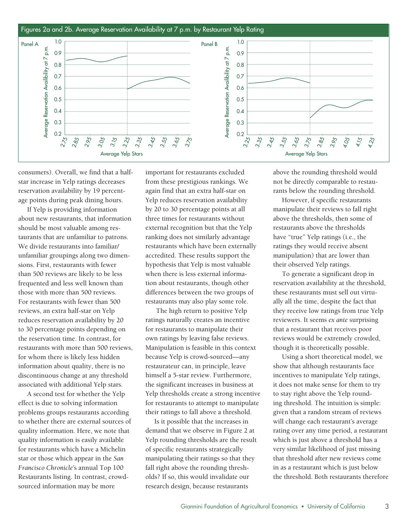

consumers). Overall, we find that a halfstar increase in Yelp ratings decreases reservation availability by 19 percentage points during peak dining hours.

If Yelp is providing information about new restaurants, that information should be most valuable among restaurants that are unfamiliar to patrons. We divide restaurants into familiar/ unfamiliar groupings along two dimensions. First, restaurants with fewer than 500 reviews are likely to be less frequented and less well known than those with more than 500 reviews. For restaurants with fewer than 500 reviews, an extra half-star on Yelp reduces reservation availability by 20 to 30 percentage points depending on the reservation time. In contrast, for restaurants with more than 500 reviews, for whom there is likely less hidden information about quality, there is no discontinuous change at any threshold associated with additional Yelp stars.

A second test for whether the Yelp effect is due to solving information problems groups restaurants according to whether there are external sources of quality information. Here, we note that quality information is easily available for restaurants which have a Michelin star or those which appear in the *San Francisco Chronicle'*s annual Top 100 Restaurants listing. In contrast, crowdsourced information may be more

important for restaurants excluded from these prestigious rankings. We again find that an extra half-star on Yelp reduces reservation availability by 20 to 30 percentage points at all three times for restaurants without external recognition but that the Yelp ranking does not similarly advantage restaurants which have been externally accredited. These results support the hypothesis that Yelp is most valuable when there is less external information about restaurants, though other differences between the two groups of restaurants may also play some role.

 The high return to positive Yelp ratings naturally creates an incentive for restaurants to manipulate their own ratings by leaving false reviews. Manipulation is feasible in this context because Yelp is crowd-sourced—any restaurateur can, in principle, leave himself a 5-star review. Furthermore, the significant increases in business at Yelp thresholds create a strong incentive for restaurants to attempt to manipulate their ratings to fall above a threshold.

Is it possible that the increases in demand that we observe in Figure 2 at Yelp rounding thresholds are the result of specific restaurants strategically manipulating their ratings so that they fall right above the rounding thresholds? If so, this would invalidate our research design, because restaurants

above the rounding threshold would not be directly comparable to restaurants below the rounding threshold.

However, if specific restaurants manipulate their reviews to fall right above the thresholds, then some of restaurants above the thresholds have "true" Yelp ratings (i.e., the ratings they would receive absent manipulation) that are lower than their observed Yelp ratings.

To generate a significant drop in reservation availability at the threshold, these restaurants must sell out virtually all the time, despite the fact that they receive low ratings from true Yelp reviewers. It seems *ex ante* surprising that a restaurant that receives poor reviews would be extremely crowded, though it is theoretically possible.

Using a short theoretical model, we show that although restaurants face incentives to manipulate Yelp ratings, it does not make sense for them to try to stay right above the Yelp rounding threshold. The intuition is simple: given that a random stream of reviews will change each restaurant's average rating over any time period, a restaurant which is just above a threshold has a very similar likelihood of just missing that threshold after new reviews come in as a restaurant which is just below the threshold. Both restaurants therefore